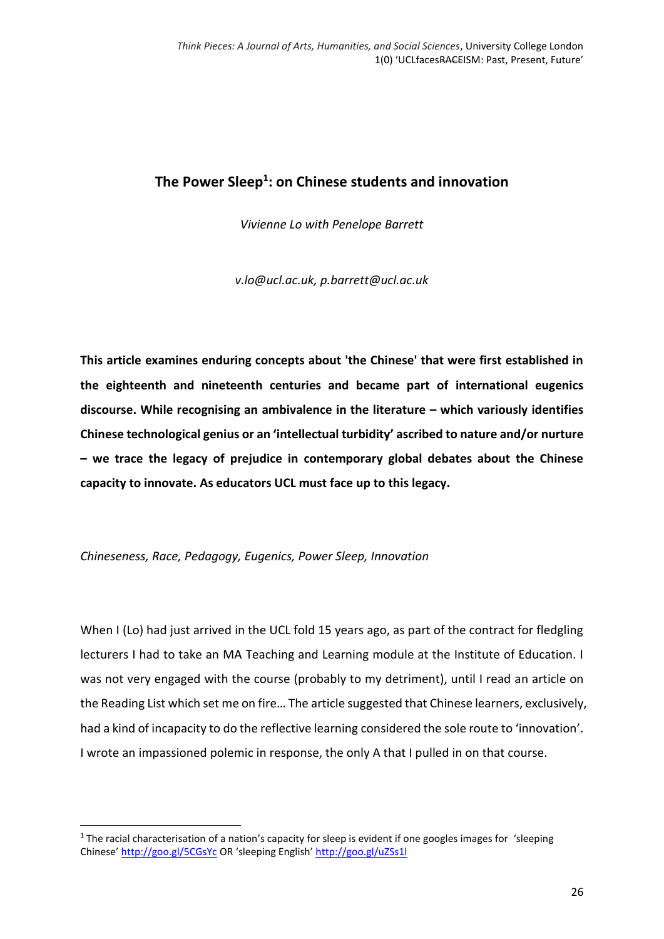## **The Power Sleep<sup>1</sup> : on Chinese students and innovation**

*Vivienne Lo with Penelope Barrett*

*v.lo@ucl.ac.uk, p.barrett@ucl.ac.uk*

**This article examines enduring concepts about 'the Chinese' that were first established in the eighteenth and nineteenth centuries and became part of international eugenics discourse. While recognising an ambivalence in the literature – which variously identifies Chinese technological genius or an 'intellectual turbidity' ascribed to nature and/or nurture – we trace the legacy of prejudice in contemporary global debates about the Chinese capacity to innovate. As educators UCL must face up to this legacy.**

*Chineseness, Race, Pedagogy, Eugenics, Power Sleep, Innovation*

**.** 

When I (Lo) had just arrived in the UCL fold 15 years ago, as part of the contract for fledgling lecturers I had to take an MA Teaching and Learning module at the Institute of Education. I was not very engaged with the course (probably to my detriment), until I read an article on the Reading List which set me on fire… The article suggested that Chinese learners, exclusively, had a kind of incapacity to do the reflective learning considered the sole route to 'innovation'. I wrote an impassioned polemic in response, the only A that I pulled in on that course.

 $1$  The racial characterisation of a nation's capacity for sleep is evident if one googles images for 'sleeping Chinese' <http://goo.gl/5CGsYc> OR 'sleeping English' <http://goo.gl/uZSs1l>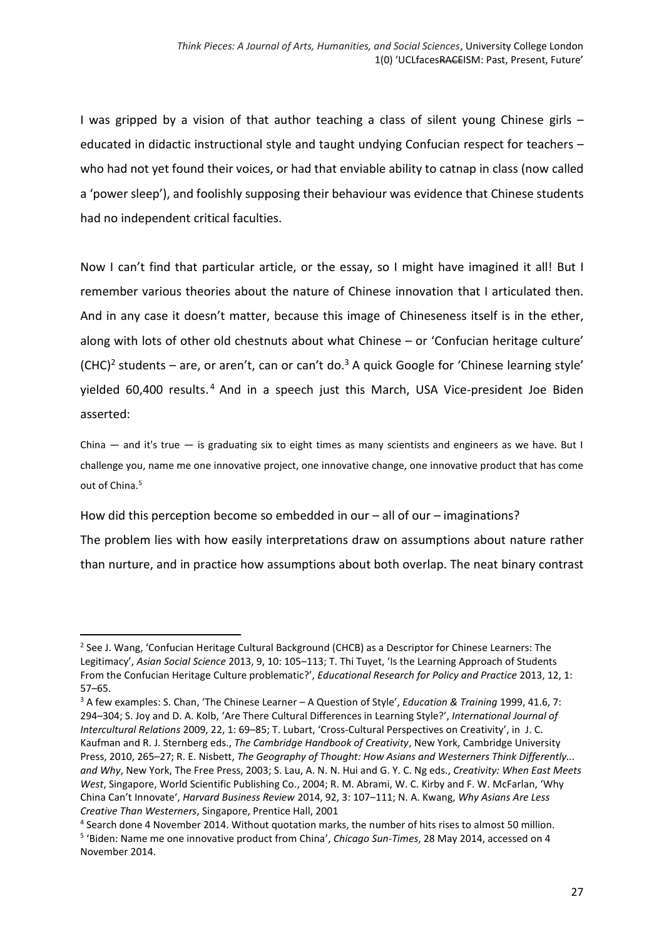I was gripped by a vision of that author teaching a class of silent young Chinese girls – educated in didactic instructional style and taught undying Confucian respect for teachers – who had not yet found their voices, or had that enviable ability to catnap in class (now called a 'power sleep'), and foolishly supposing their behaviour was evidence that Chinese students had no independent critical faculties.

Now I can't find that particular article, or the essay, so I might have imagined it all! But I remember various theories about the nature of Chinese innovation that I articulated then. And in any case it doesn't matter, because this image of Chineseness itself is in the ether, along with lots of other old chestnuts about what Chinese – or 'Confucian heritage culture'  $(CHC)<sup>2</sup>$  students – are, or aren't, can or can't do.<sup>3</sup> A quick Google for 'Chinese learning style' yielded 60,400 results.<sup>4</sup> And in a speech just this March, USA Vice-president Joe Biden asserted:

China — and it's true — is graduating six to eight times as many scientists and engineers as we have. But I challenge you, name me one innovative project, one innovative change, one innovative product that has come out of China.<sup>5</sup>

How did this perception become so embedded in our – all of our – imaginations?

1

The problem lies with how easily interpretations draw on assumptions about nature rather than nurture, and in practice how assumptions about both overlap. The neat binary contrast

<sup>2</sup> See J. Wang, 'Confucian Heritage Cultural Background (CHCB) as a Descriptor for Chinese Learners: The Legitimacy', *Asian Social Science* 2013, 9, 10: 105–113; T. Thi Tuyet, 'Is the Learning Approach of Students From the Confucian Heritage Culture problematic?', *Educational Research for Policy and Practice* 2013, 12, 1: 57–65.

<sup>3</sup> A few examples: S. Chan, 'The Chinese Learner – A Question of Style', *Education & Training* 1999, 41.6, 7: 294–304; S. Joy and D. A. Kolb, 'Are There Cultural Differences in Learning Style?', *International Journal of Intercultural Relations* 2009, 22, 1: 69–85; T. Lubart, 'Cross-Cultural Perspectives on Creativity', in J. C. Kaufman and R. J. Sternberg eds., *The Cambridge Handbook of Creativity*, New York, Cambridge University Press, 2010, 265–27; R. E. Nisbett, *The Geography of Thought: How Asians and Westerners Think Differently... and Why*, New York, The Free Press, 2003; S. Lau, A. N. N. Hui and G. Y. C. Ng eds., *Creativity: When East Meets West*, Singapore, World Scientific Publishing Co., 2004; R. M. Abrami, W. C. Kirby and F. W. McFarlan' 'Why China Can't Innovate', *Harvard Business Review* 2014, 92, 3: 107–111; N. A. Kwang, *Why Asians Are Less Creative Than Westerners*, Singapore, Prentice Hall, 2001

<sup>4</sup> Search done 4 November 2014. Without quotation marks, the number of hits rises to almost 50 million. 5 'Biden: Name me one innovative product from China', *Chicago Sun-Times*, 28 May 2014, accessed on 4 November 2014.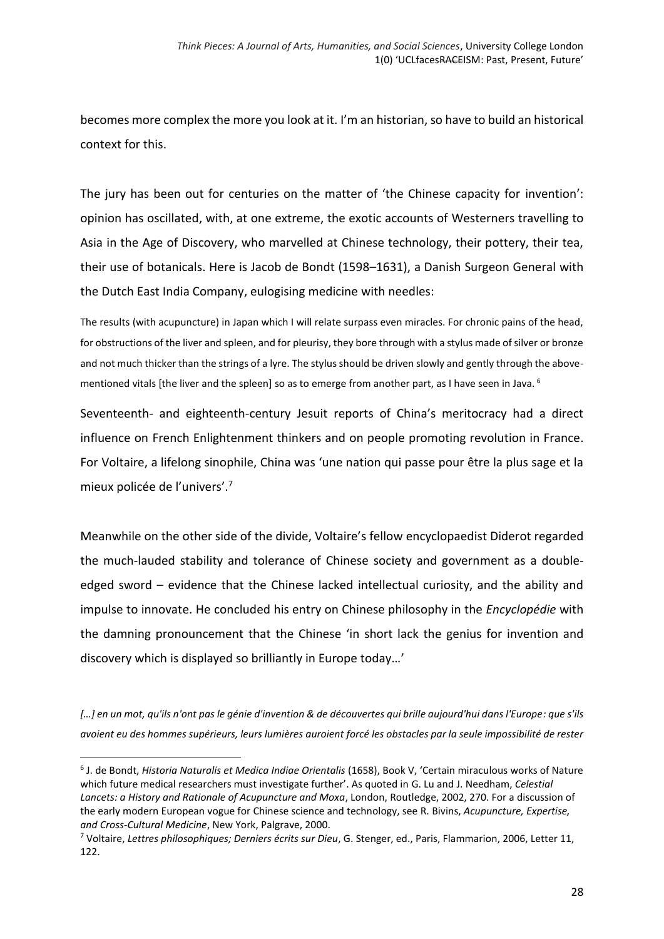becomes more complex the more you look at it. I'm an historian, so have to build an historical context for this.

The jury has been out for centuries on the matter of 'the Chinese capacity for invention': opinion has oscillated, with, at one extreme, the exotic accounts of Westerners travelling to Asia in the Age of Discovery, who marvelled at Chinese technology, their pottery, their tea, their use of botanicals. Here is Jacob de Bondt (1598–1631), a Danish Surgeon General with the Dutch East India Company, eulogising medicine with needles:

The results (with acupuncture) in Japan which I will relate surpass even miracles. For chronic pains of the head, for obstructions of the liver and spleen, and for pleurisy, they bore through with a stylus made of silver or bronze and not much thicker than the strings of a lyre. The stylus should be driven slowly and gently through the abovementioned vitals [the liver and the spleen] so as to emerge from another part, as I have seen in Java. <sup>6</sup>

Seventeenth- and eighteenth-century Jesuit reports of China's meritocracy had a direct influence on French Enlightenment thinkers and on people promoting revolution in France. For Voltaire, a lifelong sinophile, China was 'une nation qui passe pour être la plus sage et la mieux policée de l'univers'. 7

Meanwhile on the other side of the divide, Voltaire's fellow encyclopaedist Diderot regarded the much-lauded stability and tolerance of Chinese society and government as a doubleedged sword – evidence that the Chinese lacked intellectual curiosity, and the ability and impulse to innovate. He concluded his entry on Chinese philosophy in the *Encyclopédie* with the damning pronouncement that the Chinese 'in short lack the genius for invention and discovery which is displayed so brilliantly in Europe today…'

*[…] en un mot, qu'ils n'ont pas le génie d'invention & de découvertes qui brille aujourd'hui dans l'Europe: que s'ils avoient eu des hommes supérieurs, leurs lumières auroient forcé les obstacles par la seule impossibilité de rester* 

 $\overline{a}$ 

<sup>6</sup> J. de Bondt, *Historia Naturalis et Medica Indiae Orientalis* (1658), Book V, 'Certain miraculous works of Nature which future medical researchers must investigate further'. As quoted in G. Lu and J. Needham, *Celestial Lancets: a History and Rationale of Acupuncture and Moxa*, London, Routledge, 2002, 270. For a discussion of the early modern European vogue for Chinese science and technology, see R. Bivins, *Acupuncture, Expertise, and Cross-Cultural Medicine*, New York, Palgrave, 2000.

<sup>7</sup> Voltaire, *Lettres philosophiques; Derniers écrits sur Dieu*, G. Stenger, ed., Paris, Flammarion, 2006, Letter 11, 122.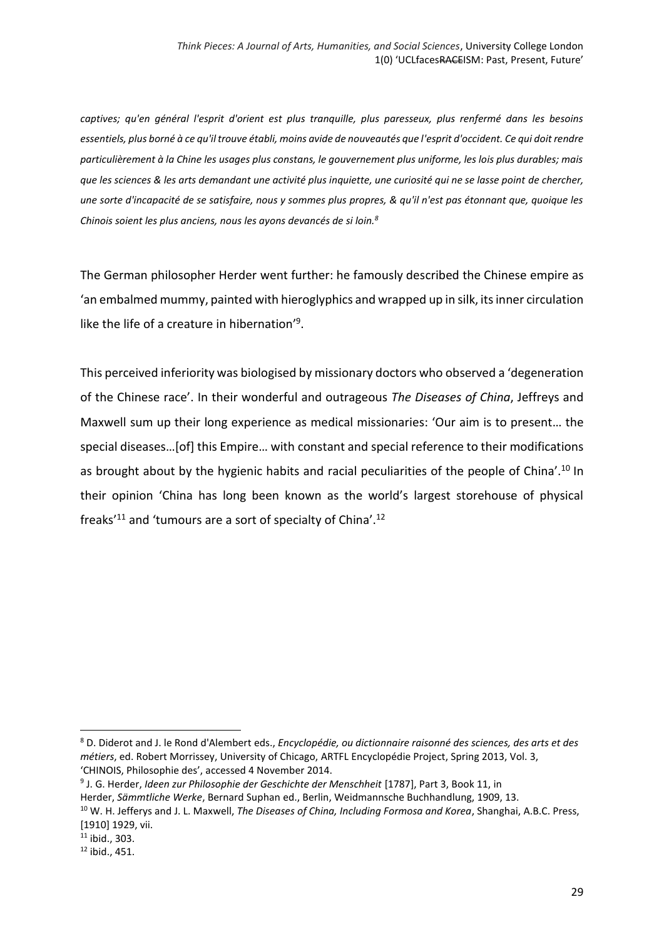*captives; qu'en général l'esprit d'orient est plus tranquille, plus paresseux, plus renfermé dans les besoins essentiels, plus borné à ce qu'il trouve établi, moins avide de nouveautés que l'esprit d'occident. Ce qui doit rendre particulièrement à la Chine les usages plus constans, le gouvernement plus uniforme, les lois plus durables; mais que les sciences & les arts demandant une activité plus inquiette, une curiosité qui ne se lasse point de chercher, une sorte d'incapacité de se satisfaire, nous y sommes plus propres, & qu'il n'est pas étonnant que, quoique les Chinois soient les plus anciens, nous les ayons devancés de si loin.<sup>8</sup>*

The German philosopher Herder went further: he famously described the Chinese empire as 'an embalmed mummy, painted with hieroglyphics and wrapped up in silk, its inner circulation like the life of a creature in hibernation'<sup>9</sup>.

This perceived inferiority was biologised by missionary doctors who observed a 'degeneration of the Chinese race'. In their wonderful and outrageous *The Diseases of China*, Jeffreys and Maxwell sum up their long experience as medical missionaries: 'Our aim is to present… the special diseases…[of] this Empire… with constant and special reference to their modifications as brought about by the hygienic habits and racial peculiarities of the people of China'.<sup>10</sup> In their opinion 'China has long been known as the world's largest storehouse of physical freaks'<sup>11</sup> and 'tumours are a sort of specialty of China'.<sup>12</sup>

<sup>8</sup> D. Diderot and J. le Rond d'Alembert eds., *Encyclopédie, ou dictionnaire raisonné des sciences, des arts et des métiers*, ed. Robert Morrissey, University of Chicago, ARTFL Encyclopédie Project, Spring 2013, Vol. 3, 'CHINOIS, Philosophie des', accessed 4 November 2014.

<sup>9</sup> J. G. Herder, *Ideen zur Philosophie der Geschichte der Menschheit* [1787], Part 3, Book 11, in Herder, *Sämmtliche Werke*, Bernard Suphan ed., Berlin, Weidmannsche Buchhandlung, 1909, 13.

<sup>10</sup> W. H. Jefferys and J. L. Maxwell, *The Diseases of China, Including Formosa and Korea*, Shanghai, A.B.C. Press, [1910] 1929, vii.

 $11$  ibid., 303.

 $12$  ibid., 451.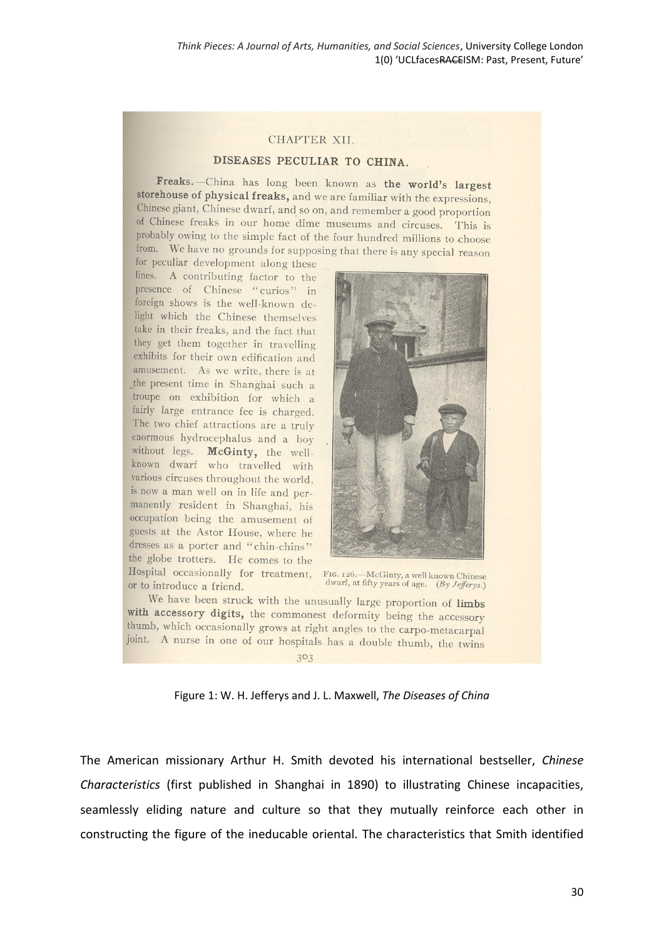## CHAPTER XII.

## DISEASES PECULIAR TO CHINA

Freaks.--China has long been known as the world's largest storehouse of physical freaks, and we are familiar with the expressions, Chinese giant, Chinese dwarf, and so on, and remember a good proportion of Chinese freaks in our home dime museums and circuses. This is probably owing to the simple fact of the four hundred millions to choose from. We have no grounds for supposing that there is any special reason

for peculiar development along these lines. A contributing factor to the presence of Chinese "curios" in foreign shows is the well-known delight which the Chinese themselves take in their freaks, and the fact that they get them together in travelling exhibits for their own edification and amusement. As we write, there is at the present time in Shanghai such a troupe on exhibition for which a fairly large entrance fee is charged. The two chief attractions are a truly enormous hydrocephalus and a boy without legs. McGinty, the wellknown dwarf who travelled with various circuses throughout the world, is now a man well on in life and permanently resident in Shanghai, his occupation being the amusement of guests at the Astor House, where he dresses as a porter and "chin-chins" the globe trotters. He comes to the Hospital occasionally for treatment, FIG. 126. McGinty, a well known Chinese or to introduce a friend.



dwarf, at fifty years of age.  $(By\,Jefferys.)$ 

We have been struck with the unusually large proportion of limbs with accessory digits, the commonest deformity being the accessory thumb, which occasionally grows at right angles to the carpo-metacarpal joint. A nurse in one of our hospitals has a double thumb, the twins

303

Figure 1: W. H. Jefferys and J. L. Maxwell, *The Diseases of China*

The American missionary Arthur H. Smith devoted his international bestseller, *Chinese Characteristics* (first published in Shanghai in 1890) to illustrating Chinese incapacities, seamlessly eliding nature and culture so that they mutually reinforce each other in constructing the figure of the ineducable oriental. The characteristics that Smith identified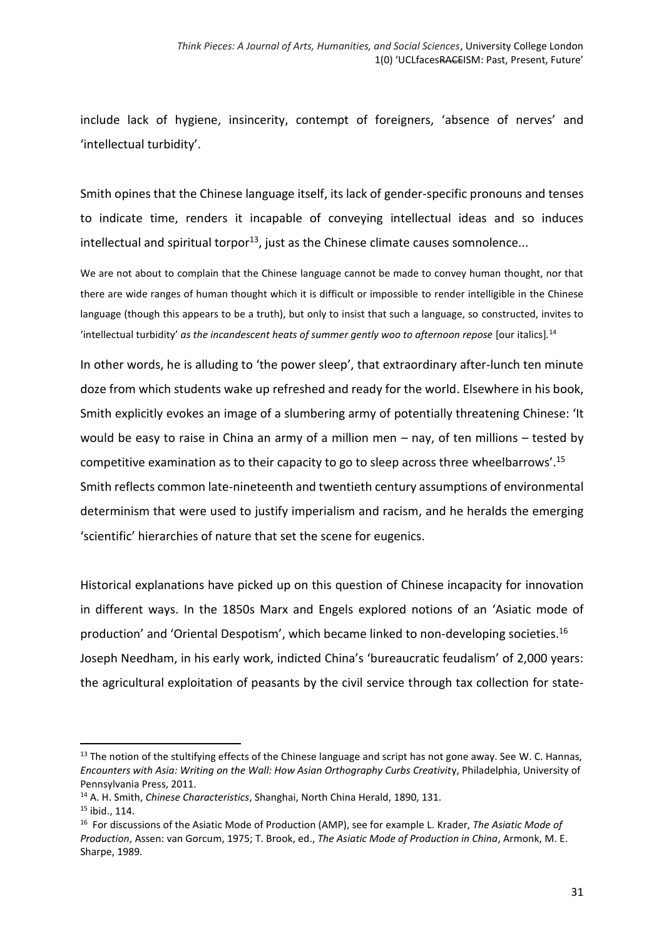include lack of hygiene, insincerity, contempt of foreigners, 'absence of nerves' and 'intellectual turbidity'.

Smith opines that the Chinese language itself, its lack of gender-specific pronouns and tenses to indicate time, renders it incapable of conveying intellectual ideas and so induces intellectual and spiritual torpor<sup>13</sup>, just as the Chinese climate causes somnolence...

We are not about to complain that the Chinese language cannot be made to convey human thought, nor that there are wide ranges of human thought which it is difficult or impossible to render intelligible in the Chinese language (though this appears to be a truth), but only to insist that such a language, so constructed, invites to 'intellectual turbidity' *as the incandescent heats of summer gently woo to afternoon repose* [our italics]*.* 14

In other words, he is alluding to 'the power sleep', that extraordinary after-lunch ten minute doze from which students wake up refreshed and ready for the world. Elsewhere in his book, Smith explicitly evokes an image of a slumbering army of potentially threatening Chinese: 'It would be easy to raise in China an army of a million men – nay, of ten millions – tested by competitive examination as to their capacity to go to sleep across three wheelbarrows'.<sup>15</sup> Smith reflects common late-nineteenth and twentieth century assumptions of environmental determinism that were used to justify imperialism and racism, and he heralds the emerging 'scientific' hierarchies of nature that set the scene for eugenics.

Historical explanations have picked up on this question of Chinese incapacity for innovation in different ways. In the 1850s Marx and Engels explored notions of an 'Asiatic mode of production' and 'Oriental Despotism', which became linked to non-developing societies. 16 Joseph Needham, in his early work, indicted China's 'bureaucratic feudalism' of 2,000 years: the agricultural exploitation of peasants by the civil service through tax collection for state-

<sup>&</sup>lt;sup>13</sup> The notion of the stultifying effects of the Chinese language and script has not gone away. See W. C. Hannas, *Encounters with Asia: Writing on the Wall: How Asian Orthography Curbs Creativit*y, Philadelphia, University of Pennsylvania Press, 2011.

<sup>14</sup> A. H. Smith, *Chinese Characteristics*, Shanghai, North China Herald, 1890, 131.

<sup>15</sup> ibid., 114.

<sup>16</sup> For discussions of the Asiatic Mode of Production (AMP), see for example L. Krader, *The Asiatic Mode of Production*, Assen: van Gorcum, 1975; T. Brook, ed., *The Asiatic Mode of Production in China*, Armonk, M. E. Sharpe, 1989.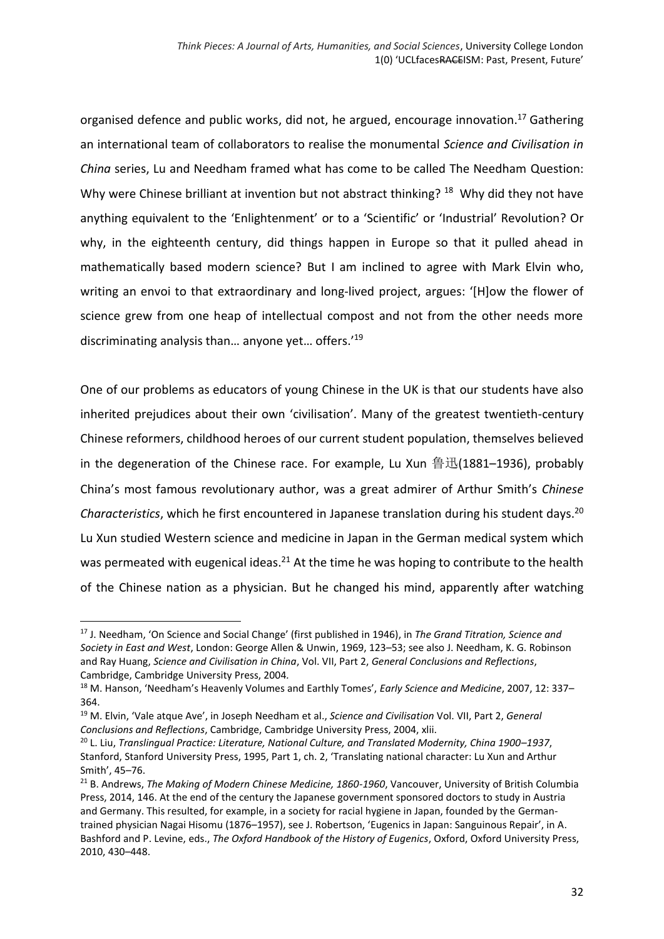organised defence and public works, did not, he argued, encourage innovation.<sup>17</sup> Gathering an international team of collaborators to realise the monumental *Science and Civilisation in China* series, Lu and Needham framed what has come to be called The Needham Question: Why were Chinese brilliant at invention but not abstract thinking? <sup>18</sup> Why did they not have anything equivalent to the 'Enlightenment' or to a 'Scientific' or 'Industrial' Revolution? Or why, in the eighteenth century, did things happen in Europe so that it pulled ahead in mathematically based modern science? But I am inclined to agree with Mark Elvin who, writing an envoi to that extraordinary and long-lived project, argues: '[H]ow the flower of science grew from one heap of intellectual compost and not from the other needs more discriminating analysis than… anyone yet… offers.'<sup>19</sup>

One of our problems as educators of young Chinese in the UK is that our students have also inherited prejudices about their own 'civilisation'. Many of the greatest twentieth-century Chinese reformers, childhood heroes of our current student population, themselves believed in the degeneration of the Chinese race. For example, Lu Xun 鲁迅(1881–1936), probably China's most famous revolutionary author, was a great admirer of Arthur Smith's *Chinese Characteristics*, which he first encountered in Japanese translation during his student days. 20 Lu Xun studied Western science and medicine in Japan in the German medical system which was permeated with eugenical ideas.<sup>21</sup> At the time he was hoping to contribute to the health of the Chinese nation as a physician. But he changed his mind, apparently after watching

<sup>17</sup> J. Needham, 'On Science and Social Change' (first published in 1946), in *The Grand Titration, Science and Society in East and West*, London: George Allen & Unwin, 1969, 123–53; see also J. Needham, K. G. Robinson and Ray Huang, *Science and Civilisation in China*, Vol. VII, Part 2, *General Conclusions and Reflections*, Cambridge, Cambridge University Press, 2004*.*

<sup>18</sup> M. Hanson, 'Needham's Heavenly Volumes and Earthly Tomes', *Early Science and Medicine*, 2007, 12: 337– 364.

<sup>19</sup> M. Elvin, 'Vale atque Ave', in Joseph Needham et al., *Science and Civilisation* Vol. VII, Part 2, *General Conclusions and Reflections*, Cambridge, Cambridge University Press, 2004, xlii.

<sup>20</sup> L. Liu, *Translingual Practice: Literature, National Culture, and Translated Modernity, China 1900–1937*, Stanford, Stanford University Press, 1995, Part 1, ch. 2, 'Translating national character: Lu Xun and Arthur Smith', 45–76.

<sup>21</sup> B. Andrews, *The Making of Modern Chinese Medicine, 1860-1960*, Vancouver, University of British Columbia Press, 2014, 146. At the end of the century the Japanese government sponsored doctors to study in Austria and Germany. This resulted, for example, in a society for racial hygiene in Japan, founded by the Germantrained physician Nagai Hisomu (1876–1957), see J. Robertson, 'Eugenics in Japan: Sanguinous Repair', in A. Bashford and P. Levine, eds., *The Oxford Handbook of the History of Eugenics*, Oxford, Oxford University Press, 2010, 430–448.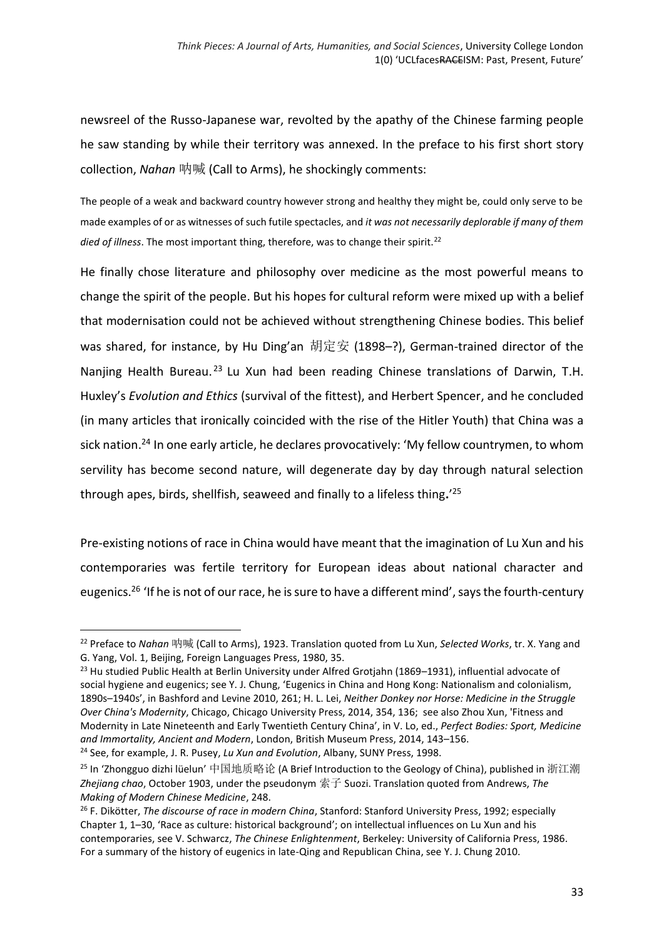newsreel of the Russo-Japanese war, revolted by the apathy of the Chinese farming people he saw standing by while their territory was annexed. In the preface to his first short story collection, *Nahan* 呐喊 (Call to Arms), he shockingly comments:

The people of a weak and backward country however strong and healthy they might be, could only serve to be made examples of or as witnesses of such futile spectacles, and *it was not necessarily deplorable if many of them died of illness*. The most important thing, therefore, was to change their spirit.<sup>22</sup>

He finally chose literature and philosophy over medicine as the most powerful means to change the spirit of the people. But his hopes for cultural reform were mixed up with a belief that modernisation could not be achieved without strengthening Chinese bodies. This belief was shared, for instance, by Hu Ding'an 胡定安 (1898–?), German-trained director of the Nanjing Health Bureau.<sup>23</sup> Lu Xun had been reading Chinese translations of Darwin, T.H. Huxley's *Evolution and Ethics* (survival of the fittest), and Herbert Spencer, and he concluded (in many articles that ironically coincided with the rise of the Hitler Youth) that China was a sick nation.<sup>24</sup> In one early article, he declares provocatively: 'My fellow countrymen, to whom servility has become second nature, will degenerate day by day through natural selection through apes, birds, shellfish, seaweed and finally to a lifeless thing**.**' 25

Pre-existing notions of race in China would have meant that the imagination of Lu Xun and his contemporaries was fertile territory for European ideas about national character and eugenics.<sup>26</sup> 'If he is not of our race, he is sure to have a different mind', says the fourth-century

1

<sup>22</sup> Preface to *Nahan* 呐喊 (Call to Arms), 1923. Translation quoted from Lu Xun, *Selected Works*, tr. X. Yang and G. Yang, Vol. 1, Beijing, Foreign Languages Press, 1980, 35.

<sup>&</sup>lt;sup>23</sup> Hu studied Public Health at Berlin University under Alfred Grotjahn (1869–1931), influential advocate of social hygiene and eugenics; see Y. J. Chung, 'Eugenics in China and Hong Kong: Nationalism and colonialism, 1890s–1940s', in Bashford and Levine 2010, 261; H. L. Lei, *Neither Donkey nor Horse: Medicine in the Struggle Over China's Modernity*, Chicago, Chicago University Press, 2014, 354, 136; see also Zhou Xun, 'Fitness and Modernity in Late Nineteenth and Early Twentieth Century China', in V. Lo, ed., *Perfect Bodies: Sport, Medicine and Immortality, Ancient and Modern*, London, British Museum Press, 2014, 143–156. <sup>24</sup> See, for example, J. R. Pusey, *Lu Xun and Evolution*, Albany, SUNY Press, 1998.

<sup>&</sup>lt;sup>25</sup> In 'Zhongguo dizhi lüelun' 中国地质略论 (A Brief Introduction to the Geology of China), published in 浙江潮 *Zhejiang chao*, October 1903, under the pseudonym 索子 Suozi. Translation quoted from Andrews, *The Making of Modern Chinese Medicine*, 248.

<sup>26</sup> F. Dikötter, *The discourse of race in modern China*, Stanford: Stanford University Press, 1992; especially Chapter 1, 1–30, 'Race as culture: historical background'; on intellectual influences on Lu Xun and his contemporaries, see V. Schwarcz, *The Chinese Enlightenment*, Berkeley: University of California Press, 1986. For a summary of the history of eugenics in late-Qing and Republican China, see Y. J. Chung 2010.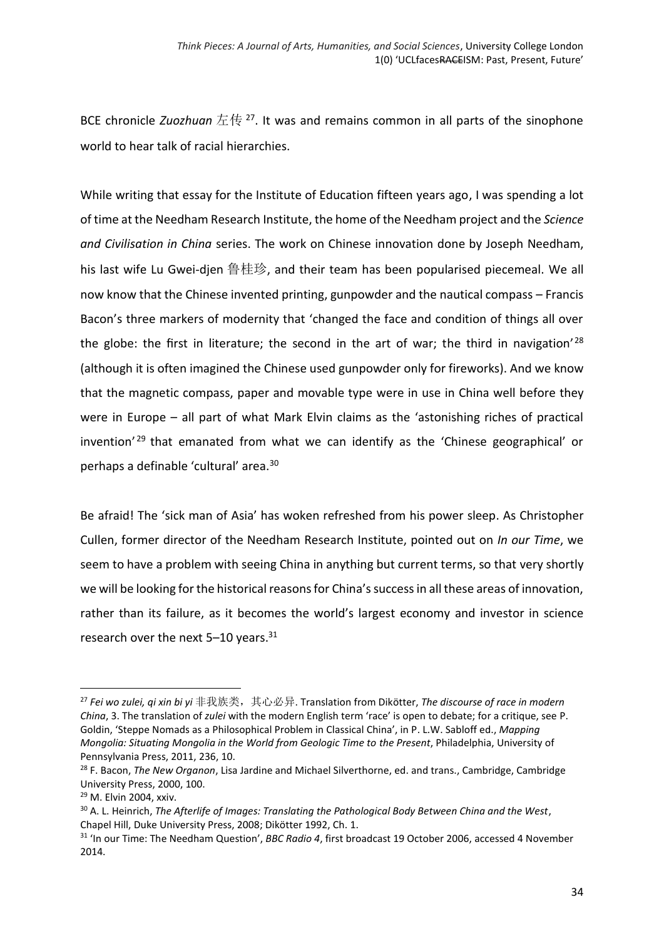BCE chronicle *Zuozhuan* 左传 <sup>27</sup>. It was and remains common in all parts of the sinophone world to hear talk of racial hierarchies.

While writing that essay for the Institute of Education fifteen years ago, I was spending a lot of time at the Needham Research Institute, the home of the Needham project and the *Science and Civilisation in China* series. The work on Chinese innovation done by Joseph Needham, his last wife Lu Gwei-djen 鲁桂珍, and their team has been popularised piecemeal. We all now know that the Chinese invented printing, gunpowder and the nautical compass – Francis Bacon's three markers of modernity that 'changed the face and condition of things all over the globe: the first in literature; the second in the art of war; the third in navigation<sup>'28</sup> (although it is often imagined the Chinese used gunpowder only for fireworks). And we know that the magnetic compass, paper and movable type were in use in China well before they were in Europe – all part of what Mark Elvin claims as the 'astonishing riches of practical invention<sup>' 29</sup> that emanated from what we can identify as the 'Chinese geographical' or perhaps a definable 'cultural' area.<sup>30</sup>

Be afraid! The 'sick man of Asia' has woken refreshed from his power sleep. As Christopher Cullen, former director of the Needham Research Institute, pointed out on *In our Time*, we seem to have a problem with seeing China in anything but current terms, so that very shortly we will be looking for the historical reasons for China's success in all these areas of innovation, rather than its failure, as it becomes the world's largest economy and investor in science research over the next 5-10 years.<sup>31</sup>

 $\overline{a}$ 

<sup>27</sup> *Fei wo zulei, qi xin bi yi* 非我族类,其心必异. Translation from Dikötter, *The discourse of race in modern China*, 3. The translation of *zulei* with the modern English term 'race' is open to debate; for a critique, see P. Goldin, 'Steppe Nomads as a Philosophical Problem in Classical China', in P. L.W. Sabloff ed., *Mapping Mongolia: Situating Mongolia in the World from Geologic Time to the Present*, Philadelphia, University of Pennsylvania Press, 2011, 236, 10.

<sup>28</sup> F. Bacon, *The New Organon*, Lisa Jardine and Michael Silverthorne, ed. and trans., Cambridge, Cambridge University Press, 2000, 100.

<sup>29</sup> M. Elvin 2004, xxiv.

<sup>30</sup> A. L. Heinrich, *The Afterlife of Images: Translating the Pathological Body Between China and the West*, Chapel Hill, Duke University Press, 2008; Dikötter 1992, Ch. 1.

<sup>31</sup> 'In our Time: The Needham Question', *BBC Radio 4*, first broadcast 19 October 2006, accessed 4 November 2014.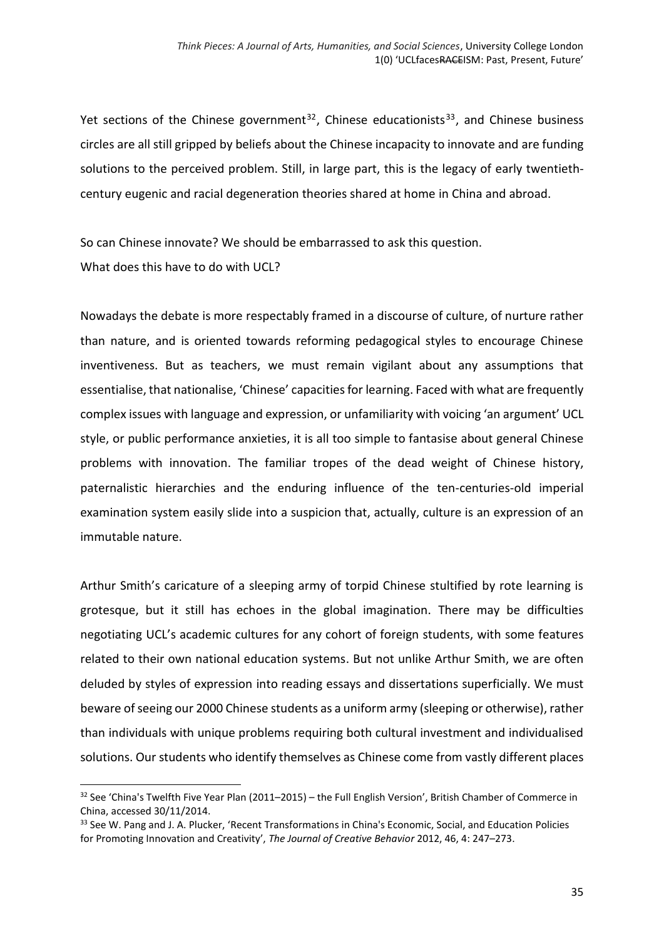Yet sections of the Chinese government<sup>32</sup>, Chinese educationists<sup>33</sup>, and Chinese business circles are all still gripped by beliefs about the Chinese incapacity to innovate and are funding solutions to the perceived problem. Still, in large part, this is the legacy of early twentiethcentury eugenic and racial degeneration theories shared at home in China and abroad.

So can Chinese innovate? We should be embarrassed to ask this question. What does this have to do with UCL?

Nowadays the debate is more respectably framed in a discourse of culture, of nurture rather than nature, and is oriented towards reforming pedagogical styles to encourage Chinese inventiveness. But as teachers, we must remain vigilant about any assumptions that essentialise, that nationalise, 'Chinese' capacities for learning. Faced with what are frequently complex issues with language and expression, or unfamiliarity with voicing 'an argument' UCL style, or public performance anxieties, it is all too simple to fantasise about general Chinese problems with innovation. The familiar tropes of the dead weight of Chinese history, paternalistic hierarchies and the enduring influence of the ten-centuries-old imperial examination system easily slide into a suspicion that, actually, culture is an expression of an immutable nature.

Arthur Smith's caricature of a sleeping army of torpid Chinese stultified by rote learning is grotesque, but it still has echoes in the global imagination. There may be difficulties negotiating UCL's academic cultures for any cohort of foreign students, with some features related to their own national education systems. But not unlike Arthur Smith, we are often deluded by styles of expression into reading essays and dissertations superficially. We must beware of seeing our 2000 Chinese students as a uniform army (sleeping or otherwise), rather than individuals with unique problems requiring both cultural investment and individualised solutions. Our students who identify themselves as Chinese come from vastly different places

 $\overline{a}$ 

 $32$  See 'China's Twelfth Five Year Plan (2011–2015) – the Full English Version', British Chamber of Commerce in China, accessed 30/11/2014.

<sup>&</sup>lt;sup>33</sup> See W. Pang and J. A. Plucker, 'Recent Transformations in China's Economic, Social, and Education Policies for Promoting Innovation and Creativity', *The Journal of Creative Behavior* 2012, 46, 4: 247–273.